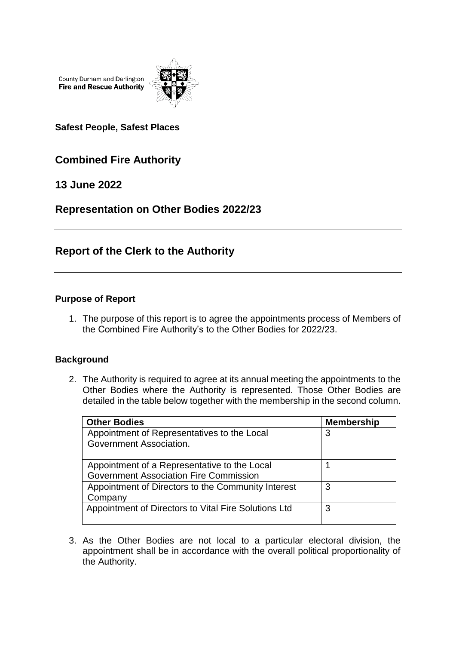County Durham and Darlington **Fire and Rescue Authority** 



**Safest People, Safest Places**

# **Combined Fire Authority**

**13 June 2022**

**Representation on Other Bodies 2022/23**

## **Report of the Clerk to the Authority**

### **Purpose of Report**

1. The purpose of this report is to agree the appointments process of Members of the Combined Fire Authority's to the Other Bodies for 2022/23.

#### **Background**

2. The Authority is required to agree at its annual meeting the appointments to the Other Bodies where the Authority is represented. Those Other Bodies are detailed in the table below together with the membership in the second column.

| <b>Other Bodies</b>                                                                           | <b>Membership</b> |
|-----------------------------------------------------------------------------------------------|-------------------|
| Appointment of Representatives to the Local<br>Government Association.                        | 3                 |
| Appointment of a Representative to the Local<br><b>Government Association Fire Commission</b> |                   |
| Appointment of Directors to the Community Interest<br>Company                                 | 3                 |
| Appointment of Directors to Vital Fire Solutions Ltd                                          | 3                 |

3. As the Other Bodies are not local to a particular electoral division, the appointment shall be in accordance with the overall political proportionality of the Authority.